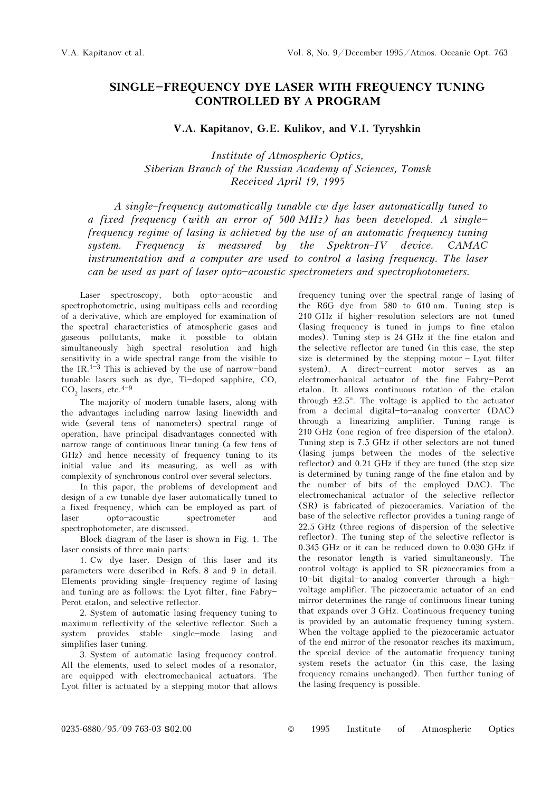## SINGLE-FREQUENCY DYE LASER WITH FREQUENCY TUNING CONTROLLED BY A PROGRAM

V.A. Kapitanov, G.E. Kulikov, and V.I. Tyryshkin

Institute of Atmospheric Optics, Siberian Branch of the Russian Academy of Sciences, Tomsk Received April 19, 1995

A single-frequency automatically tunable cw dye laser automatically tuned to a fixed frequency (with an error of 500 MHz) has been developed. A singlefrequency regime of lasing is achieved by the use of an automatic frequency tuning system. Frequency is measured by the Spektron-IV device.  $CAMAC$ instrumentation and a computer are used to control a lasing frequency. The laser can be used as part of laser opto-acoustic spectrometers and spectrophotometers.

Laser spectroscopy, both opto-acoustic and spectrophotometric, using multipass cells and recording of a derivative, which are employed for examination of the spectral characteristics of atmospheric gases and gaseous pollutants, make it possible to obtain simultaneously high spectral resolution and high sensitivity in a wide spectral range from the visible to the IR.<sup>1-3</sup> This is achieved by the use of narrow-band tunable lasers such as  $dye$ , Ti-doped sapphire, CO,  $CO<sub>2</sub>$  lasers, etc.<sup>4-9</sup>

The majority of modern tunable lasers, along with the advantages including narrow lasing linewidth and wide (several tens of nanometers) spectral range of operation, have principal disadvantages connected with narrow range of continuous linear tuning (a few tens of GHz) and hence necessity of frequency tuning to its initial value and its measuring, as well as with complexity of synchronous control over several selectors.

In this paper, the problems of development and design of a cw tunable dye laser automatically tuned to a fixed frequency, which can be employed as part of laser opto-acoustic spectrometer and spectrophotometer, are discussed.

Block diagram of the laser is shown in Fig. 1. The laser consists of three main parts:

1. Cw dye laser. Design of this laser and its parameters were described in Refs. 8 and 9 in detail. Elements providing single\$frequency regime of lasing and tuning are as follows: the Lyot filter, fine Fabry-Perot etalon, and selective reflector.

2. System of automatic lasing frequency tuning to maximum reflectivity of the selective reflector. Such a system provides stable single-mode lasing and simplifies laser tuning.

3. System of automatic lasing frequency control. All the elements, used to select modes of a resonator, are equipped with electromechanical actuators. The Lyot filter is actuated by a stepping motor that allows frequency tuning over the spectral range of lasing of the R6G dye from 580 to 610 nm. Tuning step is 210 GHz if higher-resolution selectors are not tuned (lasing frequency is tuned in jumps to fine etalon modes). Tuning step is 24 GHz if the fine etalon and the selective reflector are tuned (in this case, the step size is determined by the stepping motor  $-$  Lyot filter system). A direct-current motor serves as an electromechanical actuator of the fine Fabry-Perot etalon. It allows continuous rotation of the etalon through ±2.5°. The voltage is applied to the actuator from a decimal digital-to-analog converter (DAC) through a linearizing amplifier. Tuning range is 210 GHz (one region of free dispersion of the etalon). Tuning step is 7.5 GHz if other selectors are not tuned (lasing jumps between the modes of the selective reflector) and 0.21 GHz if they are tuned (the step size is determined by tuning range of the fine etalon and by the number of bits of the employed DAC). The electromechanical actuator of the selective reflector (SR) is fabricated of piezoceramics. Variation of the base of the selective reflector provides a tuning range of 22.5 GHz (three regions of dispersion of the selective reflector). The tuning step of the selective reflector is 0.345 GHz or it can be reduced down to 0.030 GHz if the resonator length is varied simultaneously. The control voltage is applied to SR piezoceramics from a 10-bit digital-to-analog converter through a highvoltage amplifier. The piezoceramic actuator of an end mirror determines the range of continuous linear tuning that expands over 3 GHz. Continuous frequency tuning is provided by an automatic frequency tuning system. When the voltage applied to the piezoceramic actuator of the end mirror of the resonator reaches its maximum, the special device of the automatic frequency tuning system resets the actuator (in this case, the lasing frequency remains unchanged). Then further tuning of the lasing frequency is possible.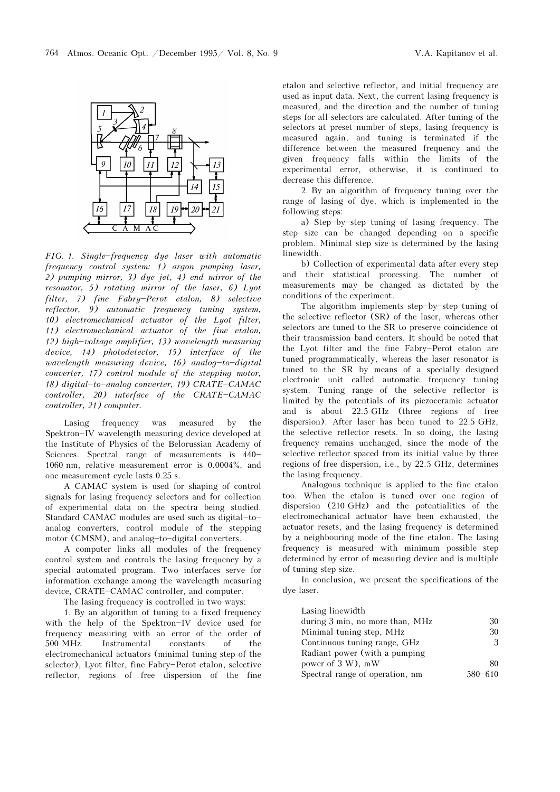

 $FIG. 1. Single-frequency\ dye\ laser\ with\ automatic$ frequency control system: 1) argon pumping laser, 2) pumping mirror, 3) dye jet, 4) end mirror of the resonator, 5) rotating mirror of the laser, 6) Lyot  $filter, 7)$  fine Fabry-Perot etalon, 8) selective reflector, 9) automatic frequency tuning system, 10) electromechanical actuator of the Lyot filter, 11) electromechanical actuator of the fine etalon, 12) high-voltage amplifier, 13) wavelength measuring device, 14) photodetector, 15) interface of the wavelength measuring device,  $16$ ) analog-to-digital converter, 17) control module of the stepping motor, 18) digital-to-analog converter, 19) CRATE-CAMAC controller, 20) interface of the CRATE-CAMAC controller, 21) computer.

Lasing frequency was measured by the Spektron-IV wavelength measuring device developed at the Institute of Physics of the Belorussian Academy of Sciences. Spectral range of measurements is 440-1060 nm, relative measurement error is 0.0004%, and one measurement cycle lasts 0.25 s.

A CAMAC system is used for shaping of control signals for lasing frequency selectors and for collection of experimental data on the spectra being studied. Standard CAMAC modules are used such as digital-toanalog converters, control module of the stepping motor (CMSM), and analog-to-digital converters.

A computer links all modules of the frequency control system and controls the lasing frequency by a special automated program. Two interfaces serve for information exchange among the wavelength measuring device, CRATE-CAMAC controller, and computer.

The lasing frequency is controlled in two ways:

1. By an algorithm of tuning to a fixed frequency with the help of the Spektron-IV device used for frequency measuring with an error of the order of 500 MHz. Instrumental constants of the electromechanical actuators (minimal tuning step of the selector), Lyot filter, fine Fabry-Perot etalon, selective reflector, regions of free dispersion of the fine

etalon and selective reflector, and initial frequency are used as input data. Next, the current lasing frequency is measured, and the direction and the number of tuning steps for all selectors are calculated. After tuning of the selectors at preset number of steps, lasing frequency is measured again, and tuning is terminated if the difference between the measured frequency and the given frequency falls within the limits of the experimental error, otherwise, it is continued to decrease this difference.

2. By an algorithm of frequency tuning over the range of lasing of dye, which is implemented in the following steps:

a) Step-by-step tuning of lasing frequency. The step size can be changed depending on a specific problem. Minimal step size is determined by the lasing linewidth.

b) Collection of experimental data after every step and their statistical processing. The number of measurements may be changed as dictated by the conditions of the experiment.

The algorithm implements step-by-step tuning of the selective reflector (SR) of the laser, whereas other selectors are tuned to the SR to preserve coincidence of their transmission band centers. It should be noted that the Lyot filter and the fine Fabry-Perot etalon are tuned programmatically, whereas the laser resonator is tuned to the SR by means of a specially designed electronic unit called automatic frequency tuning system. Tuning range of the selective reflector is limited by the potentials of its piezoceramic actuator and is about 22.5 GHz (three regions of free dispersion). After laser has been tuned to 22.5 GHz, the selective reflector resets. In so doing, the lasing frequency remains unchanged, since the mode of the selective reflector spaced from its initial value by three regions of free dispersion, i.e., by 22.5 GHz, determines the lasing frequency.

Analogous technique is applied to the fine etalon too. When the etalon is tuned over one region of dispersion (210 GHz) and the potentialities of the electromechanical actuator have been exhausted, the actuator resets, and the lasing frequency is determined by a neighbouring mode of the fine etalon. The lasing frequency is measured with minimum possible step determined by error of measuring device and is multiple of tuning step size.

In conclusion, we present the specifications of the dye laser.

| 30      |
|---------|
| 30      |
| 3       |
|         |
| 80      |
| 580-610 |
|         |